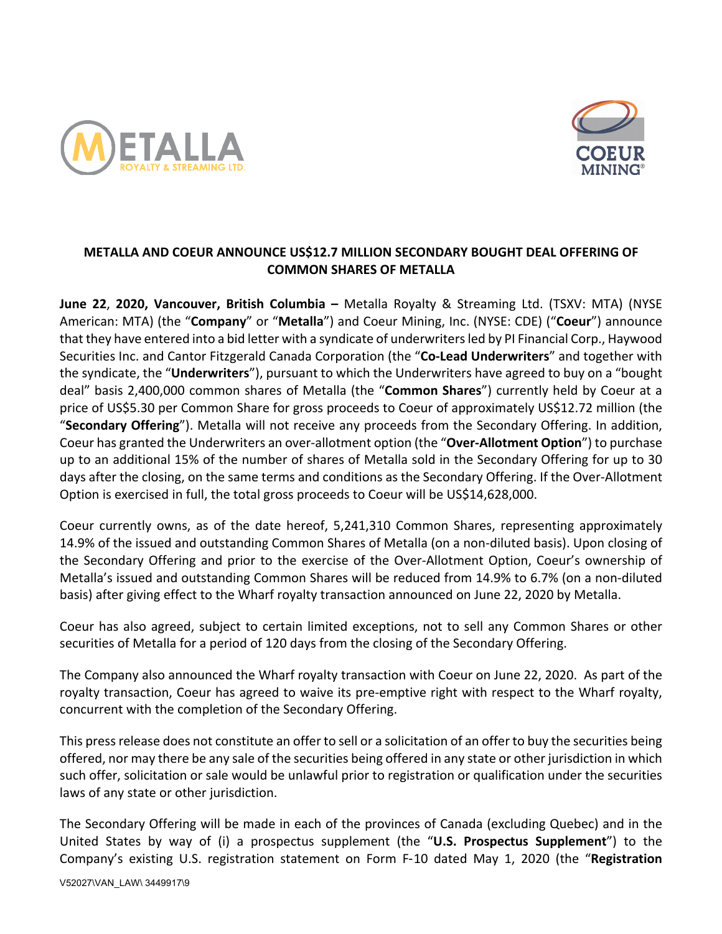



# **METALLA AND COEUR ANNOUNCE US\$12.7 MILLION SECONDARY BOUGHT DEAL OFFERING OF COMMON SHARES OF METALLA**

**June 22**, **2020, Vancouver, British Columbia –** Metalla Royalty & Streaming Ltd. (TSXV: MTA) (NYSE American: MTA) (the "**Company**" or "**Metalla**") and Coeur Mining, Inc. (NYSE: CDE) ("**Coeur**") announce that they have entered into a bid letter with a syndicate of underwriters led by PI Financial Corp., Haywood Securities Inc. and Cantor Fitzgerald Canada Corporation (the "**Co-Lead Underwriters**" and together with the syndicate, the "**Underwriters**"), pursuant to which the Underwriters have agreed to buy on a "bought deal" basis 2,400,000 common shares of Metalla (the "**Common Shares**") currently held by Coeur at a price of US\$5.30 per Common Share for gross proceeds to Coeur of approximately US\$12.72 million (the "**Secondary Offering**"). Metalla will not receive any proceeds from the Secondary Offering. In addition, Coeur has granted the Underwriters an over-allotment option (the "**Over-Allotment Option**") to purchase up to an additional 15% of the number of shares of Metalla sold in the Secondary Offering for up to 30 days after the closing, on the same terms and conditions as the Secondary Offering. If the Over-Allotment Option is exercised in full, the total gross proceeds to Coeur will be US\$14,628,000.

Coeur currently owns, as of the date hereof, 5,241,310 Common Shares, representing approximately 14.9% of the issued and outstanding Common Shares of Metalla (on a non-diluted basis). Upon closing of the Secondary Offering and prior to the exercise of the Over-Allotment Option, Coeur's ownership of Metalla's issued and outstanding Common Shares will be reduced from 14.9% to 6.7% (on a non-diluted basis) after giving effect to the Wharf royalty transaction announced on June 22, 2020 by Metalla.

Coeur has also agreed, subject to certain limited exceptions, not to sell any Common Shares or other securities of Metalla for a period of 120 days from the closing of the Secondary Offering.

The Company also announced the Wharf royalty transaction with Coeur on June 22, 2020. As part of the royalty transaction, Coeur has agreed to waive its pre-emptive right with respect to the Wharf royalty, concurrent with the completion of the Secondary Offering.

This press release does not constitute an offer to sell or a solicitation of an offer to buy the securities being offered, nor may there be any sale of the securities being offered in any state or other jurisdiction in which such offer, solicitation or sale would be unlawful prior to registration or qualification under the securities laws of any state or other jurisdiction.

The Secondary Offering will be made in each of the provinces of Canada (excluding Quebec) and in the United States by way of (i) a prospectus supplement (the "**U.S. Prospectus Supplement**") to the Company's existing U.S. registration statement on Form F-10 dated May 1, 2020 (the "**Registration**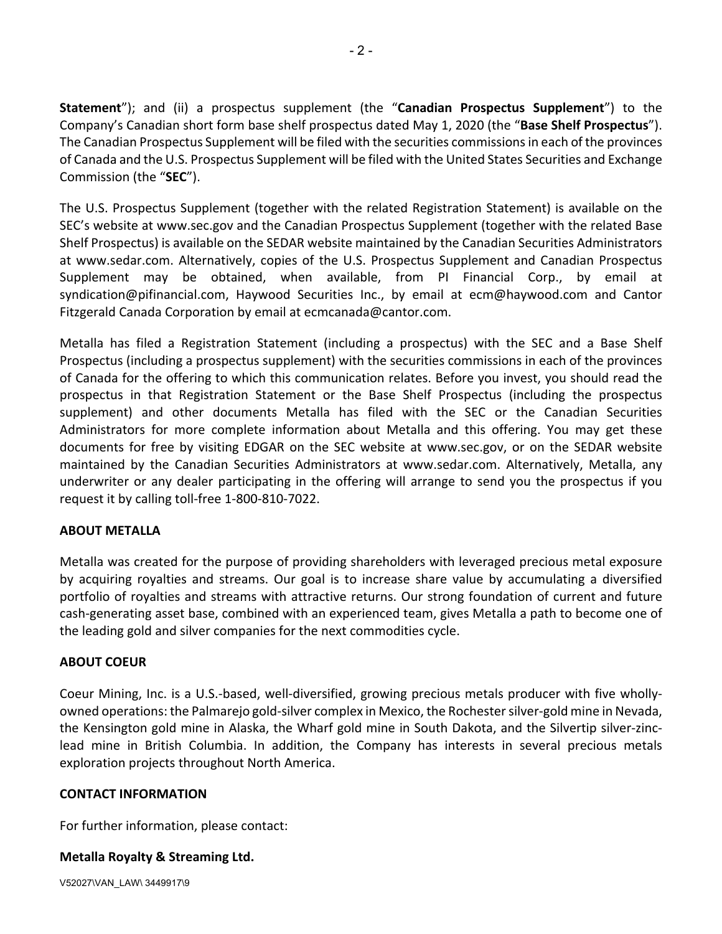**Statement**"); and (ii) a prospectus supplement (the "**Canadian Prospectus Supplement**") to the Company's Canadian short form base shelf prospectus dated May 1, 2020 (the "**Base Shelf Prospectus**"). The Canadian Prospectus Supplement will be filed with the securities commissions in each of the provinces of Canada and the U.S. Prospectus Supplement will be filed with the United States Securities and Exchange Commission (the "**SEC**").

The U.S. Prospectus Supplement (together with the related Registration Statement) is available on the SEC's website at www.sec.gov and the Canadian Prospectus Supplement (together with the related Base Shelf Prospectus) is available on the SEDAR website maintained by the Canadian Securities Administrators at www.sedar.com. Alternatively, copies of the U.S. Prospectus Supplement and Canadian Prospectus Supplement may be obtained, when available, from PI Financial Corp., by email at syndication@pifinancial.com, Haywood Securities Inc., by email at ecm@haywood.com and Cantor Fitzgerald Canada Corporation by email at ecmcanada@cantor.com.

Metalla has filed a Registration Statement (including a prospectus) with the SEC and a Base Shelf Prospectus (including a prospectus supplement) with the securities commissions in each of the provinces of Canada for the offering to which this communication relates. Before you invest, you should read the prospectus in that Registration Statement or the Base Shelf Prospectus (including the prospectus supplement) and other documents Metalla has filed with the SEC or the Canadian Securities Administrators for more complete information about Metalla and this offering. You may get these documents for free by visiting EDGAR on the SEC website at www.sec.gov, or on the SEDAR website maintained by the Canadian Securities Administrators at www.sedar.com. Alternatively, Metalla, any underwriter or any dealer participating in the offering will arrange to send you the prospectus if you request it by calling toll-free 1-800-810-7022.

## **ABOUT METALLA**

Metalla was created for the purpose of providing shareholders with leveraged precious metal exposure by acquiring royalties and streams. Our goal is to increase share value by accumulating a diversified portfolio of royalties and streams with attractive returns. Our strong foundation of current and future cash-generating asset base, combined with an experienced team, gives Metalla a path to become one of the leading gold and silver companies for the next commodities cycle.

## **ABOUT COEUR**

Coeur Mining, Inc. is a U.S.-based, well-diversified, growing precious metals producer with five whollyowned operations: the Palmarejo gold-silver complex in Mexico, the Rochester silver-gold mine in Nevada, the Kensington gold mine in Alaska, the Wharf gold mine in South Dakota, and the Silvertip silver-zinclead mine in British Columbia. In addition, the Company has interests in several precious metals exploration projects throughout North America.

## **CONTACT INFORMATION**

For further information, please contact:

## **Metalla Royalty & Streaming Ltd.**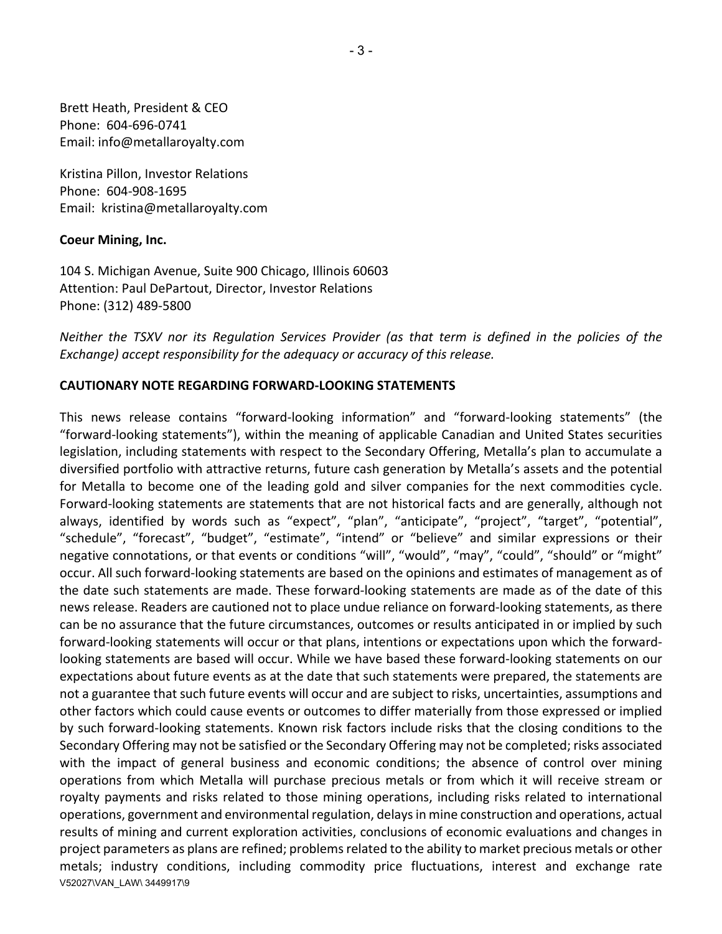Brett Heath, President & CEO Phone: 604-696-0741 Email: info@metallaroyalty.com

Kristina Pillon, Investor Relations Phone: 604-908-1695 Email: kristina@metallaroyalty.com

#### **Coeur Mining, Inc.**

104 S. Michigan Avenue, Suite 900 Chicago, Illinois 60603 Attention: Paul DePartout, Director, Investor Relations Phone: (312) 489-5800

*Neither the TSXV nor its Regulation Services Provider (as that term is defined in the policies of the Exchange) accept responsibility for the adequacy or accuracy of this release.* 

#### **CAUTIONARY NOTE REGARDING FORWARD-LOOKING STATEMENTS**

V52027\VAN\_LAW\ 3449917\9 This news release contains "forward-looking information" and "forward-looking statements" (the "forward-looking statements"), within the meaning of applicable Canadian and United States securities legislation, including statements with respect to the Secondary Offering, Metalla's plan to accumulate a diversified portfolio with attractive returns, future cash generation by Metalla's assets and the potential for Metalla to become one of the leading gold and silver companies for the next commodities cycle. Forward-looking statements are statements that are not historical facts and are generally, although not always, identified by words such as "expect", "plan", "anticipate", "project", "target", "potential", "schedule", "forecast", "budget", "estimate", "intend" or "believe" and similar expressions or their negative connotations, or that events or conditions "will", "would", "may", "could", "should" or "might" occur. All such forward-looking statements are based on the opinions and estimates of management as of the date such statements are made. These forward-looking statements are made as of the date of this news release. Readers are cautioned not to place undue reliance on forward-looking statements, as there can be no assurance that the future circumstances, outcomes or results anticipated in or implied by such forward-looking statements will occur or that plans, intentions or expectations upon which the forwardlooking statements are based will occur. While we have based these forward-looking statements on our expectations about future events as at the date that such statements were prepared, the statements are not a guarantee that such future events will occur and are subject to risks, uncertainties, assumptions and other factors which could cause events or outcomes to differ materially from those expressed or implied by such forward-looking statements. Known risk factors include risks that the closing conditions to the Secondary Offering may not be satisfied or the Secondary Offering may not be completed; risks associated with the impact of general business and economic conditions; the absence of control over mining operations from which Metalla will purchase precious metals or from which it will receive stream or royalty payments and risks related to those mining operations, including risks related to international operations, government and environmental regulation, delays in mine construction and operations, actual results of mining and current exploration activities, conclusions of economic evaluations and changes in project parameters as plans are refined; problems related to the ability to market precious metals or other metals; industry conditions, including commodity price fluctuations, interest and exchange rate